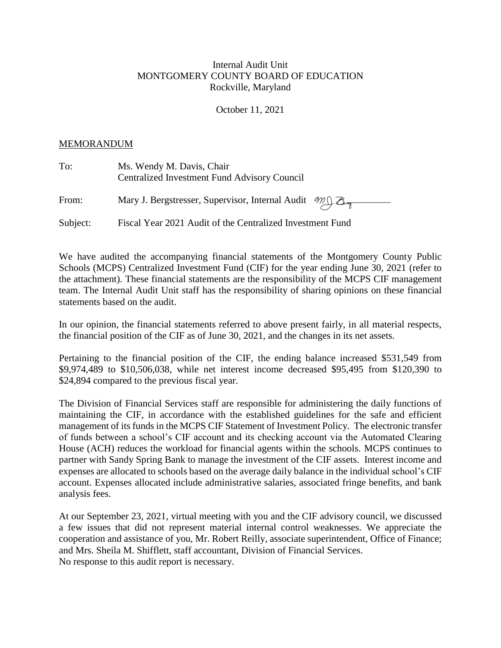## Internal Audit Unit MONTGOMERY COUNTY BOARD OF EDUCATION Rockville, Maryland

October 11, 2021

## MEMORANDUM

| To:      | Ms. Wendy M. Davis, Chair<br><b>Centralized Investment Fund Advisory Council</b> |
|----------|----------------------------------------------------------------------------------|
| From:    | Mary J. Bergstresser, Supervisor, Internal Audit M.J. B.                         |
| Subject: | Fiscal Year 2021 Audit of the Centralized Investment Fund                        |

We have audited the accompanying financial statements of the Montgomery County Public Schools (MCPS) Centralized Investment Fund (CIF) for the year ending June 30, 2021 (refer to the attachment). These financial statements are the responsibility of the MCPS CIF management team. The Internal Audit Unit staff has the responsibility of sharing opinions on these financial statements based on the audit.

In our opinion, the financial statements referred to above present fairly, in all material respects, the financial position of the CIF as of June 30, 2021, and the changes in its net assets.

Pertaining to the financial position of the CIF, the ending balance increased \$531,549 from \$9,974,489 to \$10,506,038, while net interest income decreased \$95,495 from \$120,390 to \$24,894 compared to the previous fiscal year.

The Division of Financial Services staff are responsible for administering the daily functions of maintaining the CIF, in accordance with the established guidelines for the safe and efficient management of its funds in the MCPS CIF Statement of Investment Policy*.* The electronic transfer of funds between a school's CIF account and its checking account via the Automated Clearing House (ACH) reduces the workload for financial agents within the schools. MCPS continues to partner with Sandy Spring Bank to manage the investment of the CIF assets. Interest income and expenses are allocated to schools based on the average daily balance in the individual school's CIF account. Expenses allocated include administrative salaries, associated fringe benefits, and bank analysis fees.

At our September 23, 2021, virtual meeting with you and the CIF advisory council, we discussed a few issues that did not represent material internal control weaknesses. We appreciate the cooperation and assistance of you, Mr. Robert Reilly, associate superintendent, Office of Finance; and Mrs. Sheila M. Shifflett, staff accountant, Division of Financial Services. No response to this audit report is necessary.